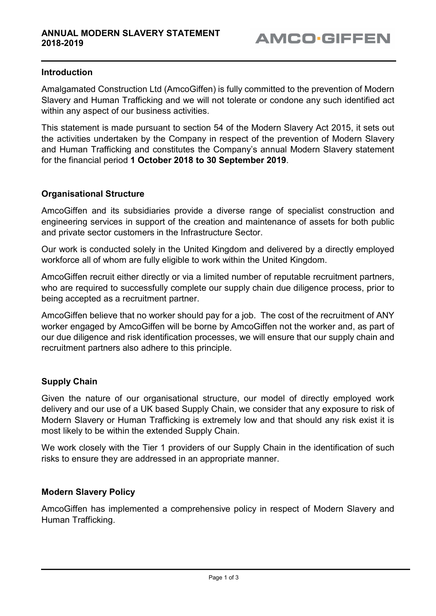## Introduction

Amalgamated Construction Ltd (AmcoGiffen) is fully committed to the prevention of Modern Slavery and Human Trafficking and we will not tolerate or condone any such identified act within any aspect of our business activities.

This statement is made pursuant to section 54 of the Modern Slavery Act 2015, it sets out the activities undertaken by the Company in respect of the prevention of Modern Slavery and Human Trafficking and constitutes the Company's annual Modern Slavery statement for the financial period 1 October 2018 to 30 September 2019.

## Organisational Structure

AmcoGiffen and its subsidiaries provide a diverse range of specialist construction and engineering services in support of the creation and maintenance of assets for both public and private sector customers in the Infrastructure Sector.

Our work is conducted solely in the United Kingdom and delivered by a directly employed workforce all of whom are fully eligible to work within the United Kingdom.

AmcoGiffen recruit either directly or via a limited number of reputable recruitment partners, who are required to successfully complete our supply chain due diligence process, prior to being accepted as a recruitment partner.

AmcoGiffen believe that no worker should pay for a job. The cost of the recruitment of ANY worker engaged by AmcoGiffen will be borne by AmcoGiffen not the worker and, as part of our due diligence and risk identification processes, we will ensure that our supply chain and recruitment partners also adhere to this principle.

# Supply Chain

Given the nature of our organisational structure, our model of directly employed work delivery and our use of a UK based Supply Chain, we consider that any exposure to risk of Modern Slavery or Human Trafficking is extremely low and that should any risk exist it is most likely to be within the extended Supply Chain.

We work closely with the Tier 1 providers of our Supply Chain in the identification of such risks to ensure they are addressed in an appropriate manner.

#### Modern Slavery Policy

AmcoGiffen has implemented a comprehensive policy in respect of Modern Slavery and Human Trafficking.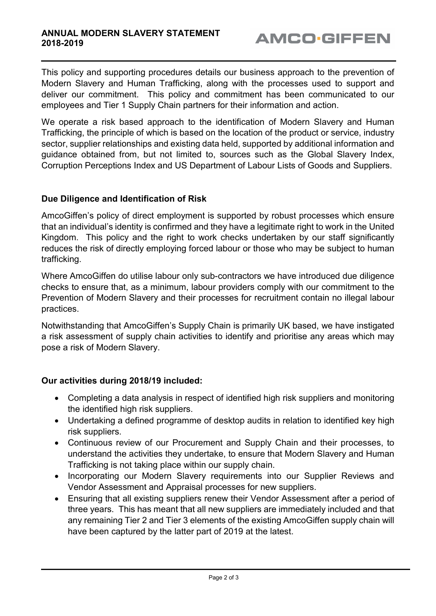This policy and supporting procedures details our business approach to the prevention of Modern Slavery and Human Trafficking, along with the processes used to support and deliver our commitment. This policy and commitment has been communicated to our employees and Tier 1 Supply Chain partners for their information and action.

We operate a risk based approach to the identification of Modern Slavery and Human Trafficking, the principle of which is based on the location of the product or service, industry sector, supplier relationships and existing data held, supported by additional information and guidance obtained from, but not limited to, sources such as the Global Slavery Index, Corruption Perceptions Index and US Department of Labour Lists of Goods and Suppliers.

## Due Diligence and Identification of Risk

AmcoGiffen's policy of direct employment is supported by robust processes which ensure that an individual's identity is confirmed and they have a legitimate right to work in the United Kingdom. This policy and the right to work checks undertaken by our staff significantly reduces the risk of directly employing forced labour or those who may be subject to human trafficking.

Where AmcoGiffen do utilise labour only sub-contractors we have introduced due diligence checks to ensure that, as a minimum, labour providers comply with our commitment to the Prevention of Modern Slavery and their processes for recruitment contain no illegal labour practices.

Notwithstanding that AmcoGiffen's Supply Chain is primarily UK based, we have instigated a risk assessment of supply chain activities to identify and prioritise any areas which may pose a risk of Modern Slavery.

# Our activities during 2018/19 included:

- Completing a data analysis in respect of identified high risk suppliers and monitoring the identified high risk suppliers.
- Undertaking a defined programme of desktop audits in relation to identified key high risk suppliers.
- Continuous review of our Procurement and Supply Chain and their processes, to understand the activities they undertake, to ensure that Modern Slavery and Human Trafficking is not taking place within our supply chain.
- Incorporating our Modern Slavery requirements into our Supplier Reviews and Vendor Assessment and Appraisal processes for new suppliers.
- Ensuring that all existing suppliers renew their Vendor Assessment after a period of three years. This has meant that all new suppliers are immediately included and that any remaining Tier 2 and Tier 3 elements of the existing AmcoGiffen supply chain will have been captured by the latter part of 2019 at the latest.